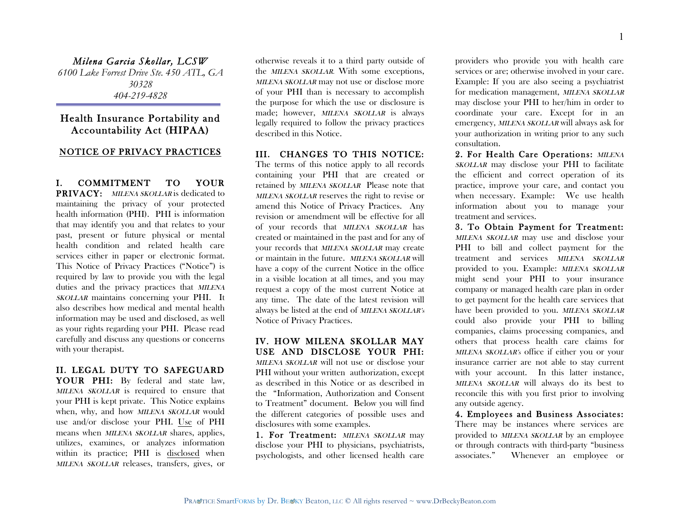*Milena Garcia Skollar, LCSW 6100 Lake Forrest Drive Ste. 450 ATL, GA 30328 404-219-4828*

# Health Insurance Portability and Accountability Act (HIPAA)

#### NOTICE OF PRIVACY PRACTICES

I. COMMITMENT TO YOUR PRIVACY: MILENA SKOLLAR is dedicated to maintaining the privacy of your protected health information (PHI). PHI is information that may identify you and that relates to your past, present or future physical or mental health condition and related health care services either in paper or electronic format. This Notice of Privacy Practices ("Notice") is required by law to provide you with the legal duties and the privacy practices that MILENA SKOLLAR maintains concerning your PHI. It also describes how medical and mental health information may be used and disclosed, as well as your rights regarding your PHI. Please read carefully and discuss any questions or concerns with your therapist.

### II. LEGAL DUTY TO SAFEGUARD YOUR PHI: By federal and state law, MILENA SKOLLAR is required to ensure that your PHI is kept private. This Notice explains when, why, and how MILENA SKOLLAR would use and/or disclose your PHI. Use of PHI means when MILENA SKOLLAR shares, applies, utilizes, examines, or analyzes information within its practice; PHI is disclosed when MILENA SKOLLAR releases, transfers, gives, or

otherwise reveals it to a third party outside of the MILENA SKOLLAR. With some exceptions, MILENA SKOLLAR may not use or disclose more of your PHI than is necessary to accomplish the purpose for which the use or disclosure is made; however, MILENA SKOLLAR is always legally required to follow the privacy practices described in this Notice.

## III. CHANGES TO THIS NOTICE:

The terms of this notice apply to all records containing your PHI that are created or retained by MILENA SKOLLAR Please note that MILENA SKOLLAR reserves the right to revise or amend this Notice of Privacy Practices. Any revision or amendment will be effective for all of your records that MILENA SKOLLAR has created or maintained in the past and for any of your records that MILENA SKOLLAR may create or maintain in the future. MILENA SKOLLAR will have a copy of the current Notice in the office in a visible location at all times, and you may request a copy of the most current Notice at any time. The date of the latest revision will always be listed at the end of MILENA SKOLLAR's Notice of Privacy Practices.

### IV. HOW MILENA SKOLLAR MAY USE AND DISCLOSE YOUR PHI:

MILENA SKOLLAR will not use or disclose your PHI without your written authorization, except as described in this Notice or as described in the "Information, Authorization and Consent to Treatment" document. Below you will find the different categories of possible uses and disclosures with some examples.

1. For Treatment: MILENA SKOLLAR may disclose your PHI to physicians, psychiatrists, psychologists, and other licensed health care providers who provide you with health care services or are; otherwise involved in your care. Example: If you are also seeing a psychiatrist for medication management, MILENA SKOLLAR may disclose your PHI to her/him in order to coordinate your care. Except for in an emergency, MILENA SKOLLAR will always ask for your authorization in writing prior to any such consultation.

2. For Health Care Operations: MILENA SKOLLAR may disclose your PHI to facilitate the efficient and correct operation of its practice, improve your care, and contact you when necessary. Example: We use health information about you to manage your treatment and services.

3. To Obtain Payment for Treatment: MILENA SKOLLAR may use and disclose your PHI to bill and collect payment for the treatment and services MILENA SKOLLAR provided to you. Example: MILENA SKOLLAR might send your PHI to your insurance company or managed health care plan in order to get payment for the health care services that have been provided to you. MILENA SKOLLAR could also provide your PHI to billing companies, claims processing companies, and others that process health care claims for MILENA SKOLLAR's office if either you or your insurance carrier are not able to stay current with your account. In this latter instance, MILENA SKOLLAR will always do its best to reconcile this with you first prior to involving any outside agency.

4. Employees and Business Associates: There may be instances where services are provided to MILENA SKOLLAR by an employee or through contracts with third-party "business associates." Whenever an employee or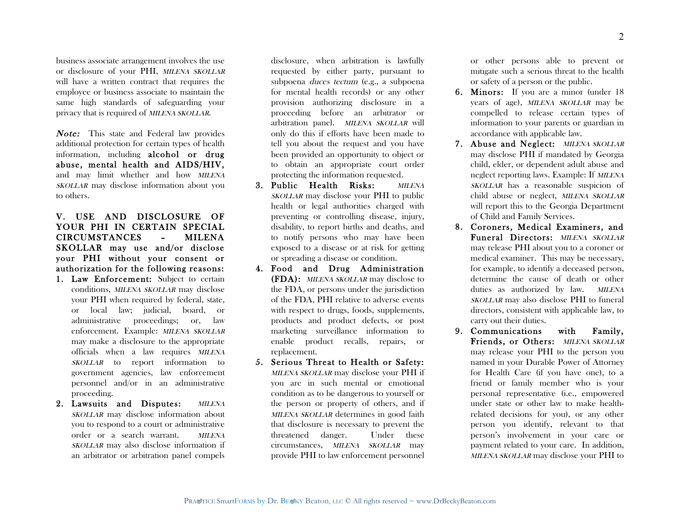business associate arrangement involves the use or disclosure of your PHI, MILENA SKOLLAR will have a written contract that requires the employee or business associate to maintain the same high standards of safeguarding your privacy that is required of MILENA SKOLLAR.

Note: This state and Federal law provides additional protection for certain types of health information, including alcohol or drug abuse, mental health and AIDS/HIV, and may limit whether and how MILENA SKOLLAR may disclose information about you to others.

## V. USE AND DISCLOSURE OF YOUR PHI IN CERTAIN SPECIAL CIRCUMSTANCES – MILENA SKOLLAR may use and/or disclose your PHI without your consent or authorization for the following reasons:

- 1. Law Enforcement: Subject to certain conditions, MILENA SKOLLAR may disclose your PHI when required by federal, state, or local law; judicial, board, or administrative proceedings; or, law enforcement. Example: MILENA SKOLLAR may make a disclosure to the appropriate officials when a law requires MILENA SKOLLAR to report information to government agencies, law enforcement personnel and/or in an administrative proceeding.
- 2. Lawsuits and Disputes: MILENA SKOLLAR may disclose information about you to respond to a court or administrative order or a search warrant. MILENA SKOLLAR may also disclose information if an arbitrator or arbitration panel compels

disclosure, when arbitration is lawfully requested by either party, pursuant to subpoena duces tectum (e.g., a subpoena for mental health records) or any other provision authorizing disclosure in a proceeding before an arbitrator or arbitration panel. MILENA SKOLLAR will only do this if efforts have been made to tell you about the request and you have been provided an opportunity to object or to obtain an appropriate court order protecting the information requested.

- 3. Public Health Risks: MILENA SKOLLAR may disclose your PHI to public health or legal authorities charged with preventing or controlling disease, injury, disability, to report births and deaths, and to notify persons who may have been exposed to a disease or at risk for getting or spreading a disease or condition.
- 4. Food and Drug Administration (FDA): MILENA SKOLLAR may disclose to the FDA, or persons under the jurisdiction of the FDA, PHI relative to adverse events with respect to drugs, foods, supplements, products and product defects, or post marketing surveillance information to enable product recalls, repairs, or replacement.
- 5. Serious Threat to Health or Safety: MILENA SKOLLAR may disclose your PHI if you are in such mental or emotional condition as to be dangerous to yourself or the person or property of others, and if MILENA SKOLLAR determines in good faith that disclosure is necessary to prevent the threatened danger. Under these circumstances, MILENA SKOLLAR may provide PHI to law enforcement personnel

or other persons able to prevent or mitigate such a serious threat to the health or safety of a person or the public.

- 6. Minors: If you are a minor (under 18 years of age), MILENA SKOLLAR may be compelled to release certain types of information to your parents or guardian in accordance with applicable law.
- 7. Abuse and Neglect: MILENA SKOLLAR may disclose PHI if mandated by Georgia child, elder, or dependent adult abuse and neglect reporting laws. Example: If MILENA SKOLLAR has a reasonable suspicion of child abuse or neglect, MILENA SKOLLAR will report this to the Georgia Department of Child and Family Services.
- 8. Coroners, Medical Examiners, and Funeral Directors: MILENA SKOLLAR may release PHI about you to a coroner or medical examiner. This may be necessary, for example, to identify a deceased person, determine the cause of death or other duties as authorized by law. MILENA SKOLLAR may also disclose PHI to funeral directors, consistent with applicable law, to carry out their duties.
- 9. Communications with Family, Friends, or Others: MILENA SKOLLAR may release your PHI to the person you named in your Durable Power of Attorney for Health Care (if you have one), to a friend or family member who is your personal representative (i.e., empowered under state or other law to make healthrelated decisions for you), or any other person you identify, relevant to that person's involvement in your care or payment related to your care. In addition, MILENA SKOLLAR may disclose your PHI to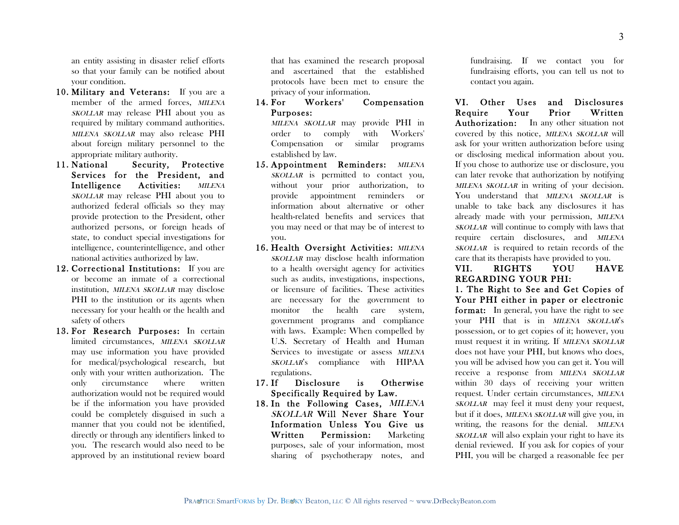an entity assisting in disaster relief efforts so that your family can be notified about your condition.

- 10. Military and Veterans: If you are a member of the armed forces, *MILENA* SKOLLAR may release PHI about you as required by military command authorities. MILENA SKOLLAR may also release PHI about foreign military personnel to the appropriate military authority.
- 11. National Security, Protective Services for the President, and Intelligence Activities: MILENA SKOLLAR may release PHI about you to authorized federal officials so they may provide protection to the President, other authorized persons, or foreign heads of state, to conduct special investigations for intelligence, counterintelligence, and other national activities authorized by law.
- 12. Correctional Institutions: If you are or become an inmate of a correctional institution, MILENA SKOLLAR may disclose PHI to the institution or its agents when necessary for your health or the health and safety of others
- 13. For Research Purposes: In certain limited circumstances, MILENA SKOLLAR may use information you have provided for medical/psychological research, but only with your written authorization. The only circumstance where written authorization would not be required would be if the information you have provided could be completely disguised in such a manner that you could not be identified, directly or through any identifiers linked to you. The research would also need to be approved by an institutional review board

that has examined the research proposal and ascertained that the established protocols have been met to ensure the privacy of your information.

14. For Workers' Compensation Purposes:

MILENA SKOLLAR may provide PHI in order to comply with Workers' Compensation or similar programs established by law.

- 15. Appointment Reminders: MILENA SKOLLAR is permitted to contact you, without your prior authorization, to provide appointment reminders or information about alternative or other health-related benefits and services that you may need or that may be of interest to you.
- 16. Health Oversight Activities: MILENA SKOLLAR may disclose health information to a health oversight agency for activities such as audits, investigations, inspections, or licensure of facilities. These activities are necessary for the government to monitor the health care system, government programs and compliance with laws. Example: When compelled by U.S. Secretary of Health and Human Services to investigate or assess MILENA SKOLLAR's compliance with HIPAA regulations.
- 17. If Disclosure is Otherwise Specifically Required by Law.
- 18. In the Following Cases, MILENA SKOLLAR Will Never Share Your Information Unless You Give us Written Permission: Marketing purposes, sale of your information, most sharing of psychotherapy notes, and

fundraising. If we contact you for fundraising efforts, you can tell us not to contact you again.

VI. Other Uses and Disclosures Require Your Prior Written Authorization: In any other situation not covered by this notice, MILENA SKOLLAR will ask for your written authorization before using or disclosing medical information about you. If you chose to authorize use or disclosure, you can later revoke that authorization by notifying MILENA SKOLLAR in writing of your decision. You understand that MILENA SKOLLAR is unable to take back any disclosures it has already made with your permission, MILENA SKOLLAR will continue to comply with laws that require certain disclosures, and MILENA SKOLLAR is required to retain records of the care that its therapists have provided to you.

## VII. RIGHTS YOU HAVE REGARDING YOUR PHI:

1. The Right to See and Get Copies of Your PHI either in paper or electronic format: In general, you have the right to see your PHI that is in MILENA SKOLLAR's possession, or to get copies of it; however, you must request it in writing. If MILENA SKOLLAR does not have your PHI, but knows who does, you will be advised how you can get it. You will receive a response from MILENA SKOLLAR within 30 days of receiving your written request. Under certain circumstances, MILENA SKOLLAR may feel it must deny your request, but if it does, MILENA SKOLLAR will give you, in writing, the reasons for the denial. MILENA SKOLLAR will also explain your right to have its denial reviewed. If you ask for copies of your PHI, you will be charged a reasonable fee per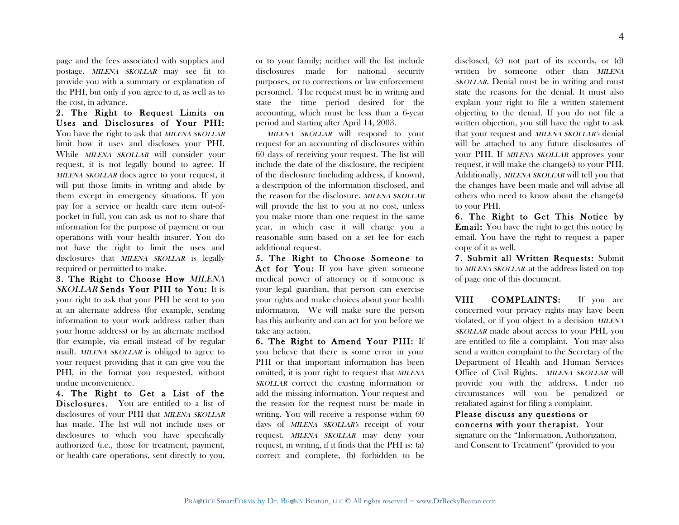page and the fees associated with supplies and postage. MILENA SKOLLAR may see fit to provide you with a summary or explanation of the PHI, but only if you agree to it, as well as to the cost, in advance.

2. The Right to Request Limits on Uses and Disclosures of Your PHI: You have the right to ask that MILENA SKOLLAR limit how it uses and discloses your PHI. While MILENA SKOLLAR will consider your request, it is not legally bound to agree. If MILENA SKOLLAR does agree to your request, it will put those limits in writing and abide by them except in emergency situations. If you pay for a service or health care item out-ofpocket in full, you can ask us not to share that information for the purpose of payment or our operations with your health insurer. You do not have the right to limit the uses and disclosures that *MILENA SKOLLAR* is legally required or permitted to make.

3. The Right to Choose How MILENA SKOLLAR Sends Your PHI to You: It is your right to ask that your PHI be sent to you at an alternate address (for example, sending information to your work address rather than your home address) or by an alternate method (for example, via email instead of by regular mail). MILENA SKOLLAR is obliged to agree to your request providing that it can give you the PHI, in the format you requested, without undue inconvenience.

4. The Right to Get a List of the Disclosures. You are entitled to a list of disclosures of your PHI that *MILENA SKOLLAR* has made. The list will not include uses or disclosures to which you have specifically authorized (i.e., those for treatment, payment, or health care operations, sent directly to you, or to your family; neither will the list include disclosures made for national security purposes, or to corrections or law enforcement personnel. The request must be in writing and state the time period desired for the accounting, which must be less than a 6-year period and starting after April 14, 2003.

 MILENA SKOLLAR will respond to your request for an accounting of disclosures within 60 days of receiving your request. The list will include the date of the disclosure, the recipient of the disclosure (including address, if known), a description of the information disclosed, and the reason for the disclosure. MILENA SKOLLAR will provide the list to you at no cost, unless you make more than one request in the same year, in which case it will charge you a reasonable sum based on a set fee for each additional request.

5. The Right to Choose Someone to Act for You: If you have given someone medical power of attorney or if someone is your legal guardian, that person can exercise your rights and make choices about your health information. We will make sure the person has this authority and can act for you before we take any action.

6. The Right to Amend Your PHI: If you believe that there is some error in your PHI or that important information has been omitted, it is your right to request that MILENA SKOLLAR correct the existing information or add the missing information. Your request and the reason for the request must be made in writing. You will receive a response within 60 days of MILENA SKOLLAR's receipt of your request. MILENA SKOLLAR may deny your request, in writing, if it finds that the PHI is: (a) correct and complete, (b) forbidden to be

disclosed, (c) not part of its records, or (d) written by someone other than *MILENA* SKOLLAR. Denial must be in writing and must state the reasons for the denial. It must also explain your right to file a written statement objecting to the denial. If you do not file a written objection, you still have the right to ask that your request and MILENA SKOLLAR's denial will be attached to any future disclosures of your PHI. If MILENA SKOLLAR approves your request, it will make the change(s) to your PHI. Additionally, MILENA SKOLLAR will tell you that the changes have been made and will advise all others who need to know about the change(s) to your PHI.

6. The Right to Get This Notice by Email: You have the right to get this notice by email. You have the right to request a paper copy of it as well.

7. Submit all Written Requests: Submit to MILENA SKOLLAR at the address listed on top of page one of this document.

VIII COMPLAINTS: If you are concerned your privacy rights may have been violated, or if you object to a decision MILENA SKOLLAR made about access to your PHI, you are entitled to file a complaint. You may also send a written complaint to the Secretary of the Department of Health and Human Services Office of Civil Rights. MILENA SKOLLAR will provide you with the address. Under no circumstances will you be penalized or retaliated against for filing a complaint.

Please discuss any questions or concerns with your therapist. Your signature on the "Information, Authorization, and Consent to Treatment" (provided to you